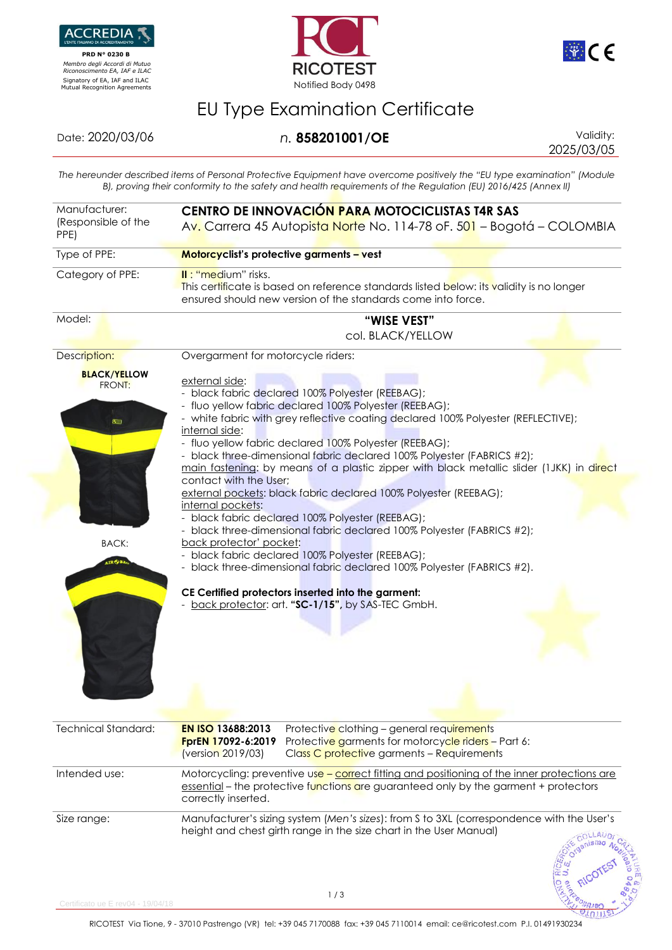

 **PRD N° 0230 B**  *Membro degli Accordi di Mutuo Riconoscimento EA, IAF e ILAC*





## EU Type Examination Certificate

## Date: 2020/03/06 *n.* **858201001/OE** Validity:

2025/03/05

 $21011$ 

*The hereunder described items of Personal Protective Equipment have overcome positively the "EU type examination" (Module B), proving their conformity to the safety and health requirements of the Regulation (EU) 2016/425 (Annex II)*

| Manufacturer:<br>(Responsible of the<br>PPE) | CENTRO DE INNOVACIÓN PARA MOTOCICLISTAS T4R SAS<br>Av. Carrera 45 Autopista Norte No. 114-78 oF. 501 – Bogotá – COLOMBIA                                                                                                                                                                                                                                                                                                                                                                      |  |
|----------------------------------------------|-----------------------------------------------------------------------------------------------------------------------------------------------------------------------------------------------------------------------------------------------------------------------------------------------------------------------------------------------------------------------------------------------------------------------------------------------------------------------------------------------|--|
| Type of PPE:                                 | Motorcyclist's protective garments - vest                                                                                                                                                                                                                                                                                                                                                                                                                                                     |  |
| Category of PPE:                             | II: "medium" risks.<br>This certificate is based on reference standards listed below: its validity is no longer<br>ensured should new version of the standards come into force.                                                                                                                                                                                                                                                                                                               |  |
| Model:                                       | "WISE VEST"<br>col. BLACK/YELLOW                                                                                                                                                                                                                                                                                                                                                                                                                                                              |  |
| Description:                                 | Overgarment for motorcycle riders:                                                                                                                                                                                                                                                                                                                                                                                                                                                            |  |
| <b>BLACK/YELLOW</b><br>FRONT:<br>医田          | external side:<br>- black fabric declared 100% Polyester (REEBAG);<br>- fluo yellow fabric declared 100% Polyester (REEBAG);<br>- white fabric with grey reflective coating declared 100% Polyester (REFLECTIVE);<br>internal side:<br>- fluo yellow fabric declared 100% Polyester (REEBAG);<br>- black three-dimensional fabric declared 100% Polyester (FABRICS #2);<br>main fastening: by means of a plastic zipper with black metallic slider (1JKK) in direct<br>contact with the User; |  |
|                                              | external pockets: black fabric declared 100% Polyester (REEBAG);<br>internal pockets:<br>- black fabric declared 100% Polyester (REEBAG);                                                                                                                                                                                                                                                                                                                                                     |  |
| <b>BACK:</b><br>IR PBA                       | - black three-dimensional fabric declared 100% Polyester (FABRICS #2);<br>back protector' pocket:<br>- black fabric declared 100% Polyester (REEBAG);<br>- black three-dimensional fabric declared 100% Polyester (FABRICS #2).                                                                                                                                                                                                                                                               |  |
|                                              | CE Certified protectors inserted into the garment:<br>- back protector: art. "SC-1/15", by SAS-TEC GmbH.                                                                                                                                                                                                                                                                                                                                                                                      |  |
| <b>Technical Standard:</b>                   | <b>EN ISO 13688:2013</b><br>Protective clothing - general requirements<br>FprEN 17092-6:2019<br>Protective garments for motorcycle riders - Part 6:<br>(version 2019/03)<br>Class C protective garments - Requirements                                                                                                                                                                                                                                                                        |  |
| Intended use:                                | Motorcycling: preventive use - correct fitting and positioning of the inner protections are<br>essential - the protective functions are guaranteed only by the garment + protectors<br>correctly inserted.                                                                                                                                                                                                                                                                                    |  |
| Size range:                                  | Manufacturer's sizing system (Men's sizes): from S to 3XL (correspondence with the User's<br>height and chest girth range in the size chart in the User Manual)                                                                                                                                                                                                                                                                                                                               |  |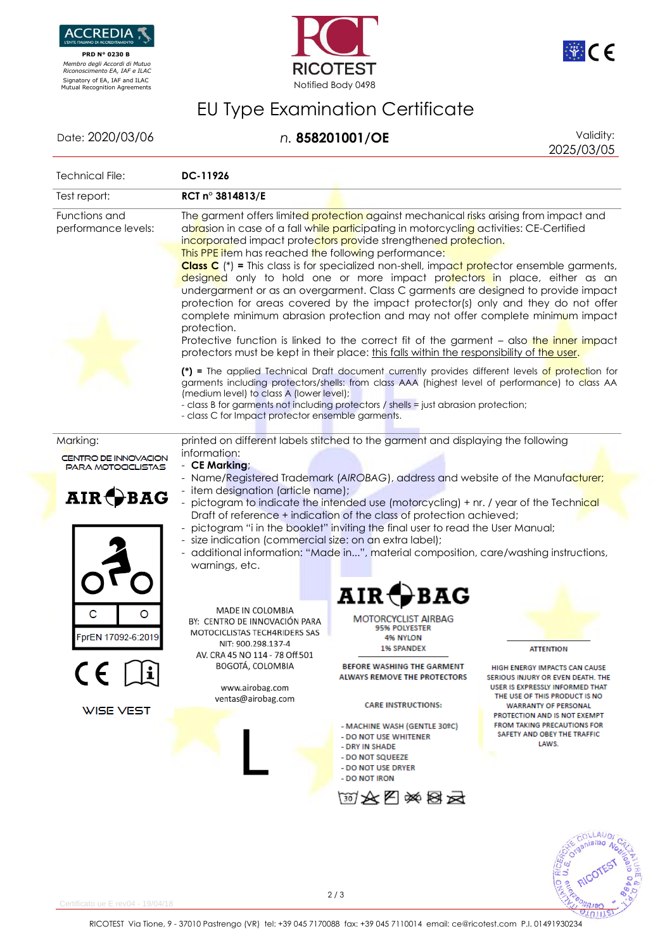

 **PRD N° 0230 B**  *Membro degli Accordi di Mutuo Riconoscimento EA, IAF e ILAC*





## EU Type Examination Certificate

Date: 2020/03/06 *n.* **858201001/OE** Validity:

2025/03/05

| Technical File:                                                      | DC-11926                                                                                                                                                                                                                                                                                                                                                                                                                                                                                                                                                                                                                                                                                                                                                                                                                                                                                                                                                             |                                                                                                                                                                                                                                                                                                        |  |  |
|----------------------------------------------------------------------|----------------------------------------------------------------------------------------------------------------------------------------------------------------------------------------------------------------------------------------------------------------------------------------------------------------------------------------------------------------------------------------------------------------------------------------------------------------------------------------------------------------------------------------------------------------------------------------------------------------------------------------------------------------------------------------------------------------------------------------------------------------------------------------------------------------------------------------------------------------------------------------------------------------------------------------------------------------------|--------------------------------------------------------------------------------------------------------------------------------------------------------------------------------------------------------------------------------------------------------------------------------------------------------|--|--|
| Test report:                                                         | RCT n° 3814813/E                                                                                                                                                                                                                                                                                                                                                                                                                                                                                                                                                                                                                                                                                                                                                                                                                                                                                                                                                     |                                                                                                                                                                                                                                                                                                        |  |  |
| Functions and<br>performance levels:                                 | The garment offers limited protection against mechanical risks arising from impact and<br>abrasion in case of a fall while participating in motorcycling activities: CE-Certified<br>incorporated impact protectors provide strengthened protection.<br>This PPE item has reached the following performance:<br><b>Class C</b> (*) = This class is for specialized non-shell, impact protector ensemble garments,<br>designed only to hold one or more impact protectors in place, either as an<br>undergarment or as an overgarment. Class C garments are designed to provide impact<br>protection for areas covered by the impact protector(s) only and they do not offer<br>complete minimum abrasion protection and may not offer complete minimum impact<br>protection.<br>Protective function is linked to the correct fit of the garment - also the inner impact<br>protectors must be kept in their place: this falls within the responsibility of the user. |                                                                                                                                                                                                                                                                                                        |  |  |
|                                                                      | (*) = The applied Technical Draft document currently provides different levels of protection for<br>garments including protectors/shells: from class AAA (highest level of performance) to class AA<br>(medium level) to class A (lower level);<br>- class B for garments not including protectors / shells = just abrasion protection;<br>- class C for Impact protector ensemble garments.                                                                                                                                                                                                                                                                                                                                                                                                                                                                                                                                                                         |                                                                                                                                                                                                                                                                                                        |  |  |
| Marking:<br><b>CENTRO DE INNOVACION</b><br><b>PARA MOTOCICLISTAS</b> | printed on different labels stitched to the garment and displaying the following<br>information:<br>- CE Marking;                                                                                                                                                                                                                                                                                                                                                                                                                                                                                                                                                                                                                                                                                                                                                                                                                                                    |                                                                                                                                                                                                                                                                                                        |  |  |
| AIR + BAG                                                            | - Name/Registered Trademark (AIROBAG), address and website of the Manufacturer;<br>- item designation (article name);<br>- pictogram to indicate the intended use (motorcycling) + nr. / year of the Technical<br>Draft of reference + indication of the class of protection achieved;<br>pictogram "i in the booklet" inviting the final user to read the User Manual;<br>- size indication (commercial size: on an extra label);<br>- additional information: "Made in", material composition, care/washing instructions,<br>warnings, etc.                                                                                                                                                                                                                                                                                                                                                                                                                        |                                                                                                                                                                                                                                                                                                        |  |  |
| FprEN 17092-6:2019<br>CE FÎ<br>WISE VEST                             | $\texttt{AIR}$ (<br>MADE IN COLOMBIA<br>MOTORCYCLIST AIRBAG<br>BY: CENTRO DE INNOVACIÓN PARA<br><b>95% POLYESTER</b><br>MOTOCICLISTAS TECH4RIDERS SAS<br><b>4% NYLON</b><br>NIT: 900.298.137-4<br><b>1% SPANDEX</b><br>AV. CRA 45 NO 114 - 78 Off.501<br>BOGOTÁ, COLOMBIA<br><b>BEFORE WASHING THE GARMENT</b><br><b>ALWAYS REMOVE THE PROTECTORS</b><br>www.airobag.com<br>ventas@airobag.com<br><b>CARE INSTRUCTIONS:</b><br>- MACHINE WASH (GENTLE 30ºC)<br>- DO NOT USE WHITENER<br>- DRY IN SHADE<br>- DO NOT SQUEEZE<br>- DO NOT USE DRYER<br>- DO NOT IRON                                                                                                                                                                                                                                                                                                                                                                                                    | <b>ATTENTION</b><br>HIGH ENERGY IMPACTS CAN CAUS<br>SERIOUS INJURY OR EVEN DEATH. THE<br>USER IS EXPRESSLY INFORMED THAT<br>THE USE OF THIS PRODUCT IS NO<br><b>WARRANTY OF PERSONAL</b><br>PROTECTION AND IS NOT EXEMPT<br><b>FROM TAKING PRECAUTIONS FOR</b><br>SAFETY AND OBEY THE TRAFFIC<br>LAWS. |  |  |
|                                                                      | <b>MAK图※图云</b>                                                                                                                                                                                                                                                                                                                                                                                                                                                                                                                                                                                                                                                                                                                                                                                                                                                                                                                                                       |                                                                                                                                                                                                                                                                                                        |  |  |
|                                                                      |                                                                                                                                                                                                                                                                                                                                                                                                                                                                                                                                                                                                                                                                                                                                                                                                                                                                                                                                                                      | $n$ ismo                                                                                                                                                                                                                                                                                               |  |  |



 $rtificato$  ue  $F$  rev $04 - 19/04/18$ 

2 / 3